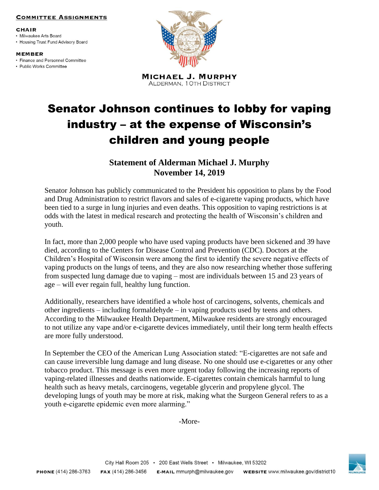## **COMMITTEE ASSIGNMENTS**

## CHAIR

• Milwaukee Arts Board • Housing Trust Fund Advisory Board

**MEMBER** 

• Finance and Personnel Committee

• Public Works Committee



**MICHAEL J. MURPHY ALDERMAN, 1 OTH DISTRICT** 

## Senator Johnson continues to lobby for vaping industry – at the expense of Wisconsin's children and young people

**Statement of Alderman Michael J. Murphy November 14, 2019**

Senator Johnson has publicly communicated to the President his opposition to plans by the Food and Drug Administration to restrict flavors and sales of e-cigarette vaping products, which have been tied to a surge in lung injuries and even deaths. This opposition to vaping restrictions is at odds with the latest in medical research and protecting the health of Wisconsin's children and youth.

In fact, more than 2,000 people who have used vaping products have been sickened and 39 have died, according to the Centers for Disease Control and Prevention (CDC). Doctors at the Children's Hospital of Wisconsin were among the first to identify the severe negative effects of vaping products on the lungs of teens, and they are also now researching whether those suffering from suspected lung damage due to vaping – most are individuals between 15 and 23 years of age – will ever regain full, healthy lung function.

Additionally, researchers have identified a whole host of carcinogens, solvents, chemicals and other ingredients – including formaldehyde – in vaping products used by teens and others. According to the Milwaukee Health Department, Milwaukee residents are strongly encouraged to not utilize any vape and/or e-cigarette devices immediately, until their long term health effects are more fully understood.

In September the CEO of the American Lung Association stated: "E-cigarettes are not safe and can cause irreversible lung damage and lung disease. No one should use e-cigarettes or any other tobacco product. This message is even more urgent today following the increasing reports of vaping-related illnesses and deaths nationwide. E-cigarettes contain chemicals harmful to lung health such as heavy metals, carcinogens, vegetable glycerin and propylene glycol. The developing lungs of youth may be more at risk, making what the Surgeon General refers to as a youth e-cigarette epidemic even more alarming."

-More-